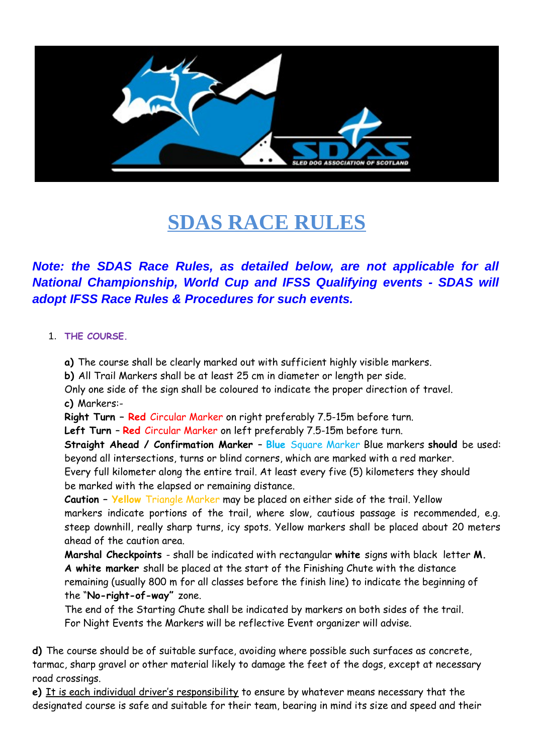

# **SDAS RACE RULES**

# *Note: the SDAS Race Rules, as detailed below, are not applicable for all National Championship, World Cup and IFSS Qualifying events - SDAS will adopt IFSS Race Rules & Procedures for such events.*

#### 1. **THE COURSE.**

**a)** The course shall be clearly marked out with sufficient highly visible markers.

**b)** All Trail Markers shall be at least 25 cm in diameter or length per side.

Only one side of the sign shall be coloured to indicate the proper direction of travel. **c)** Markers:-

**Right Turn – Red** Circular Marker on right preferably 7.5-15m before turn.

**Left Turn** – **Red** Circular Marker on left preferably 7.5-15m before turn.

**Straight Ahead / Confirmation Marker** – **Blue** Square Marker Blue markers **should** be used: beyond all intersections, turns or blind corners, which are marked with a red marker.

Every full kilometer along the entire trail. At least every five (5) kilometers they should be marked with the elapsed or remaining distance.

**Caution – Yellow** Triangle Marker may be placed on either side of the trail. Yellow markers indicate portions of the trail, where slow, cautious passage is recommended, e.g. steep downhill, really sharp turns, icy spots. Yellow markers shall be placed about 20 meters ahead of the caution area.

**Marshal Checkpoints** - shall be indicated with rectangular **white** signs with black letter **M. A white marker** shall be placed at the start of the Finishing Chute with the distance remaining (usually 800 m for all classes before the finish line) to indicate the beginning of the "**No-right-of-way"** zone.

The end of the Starting Chute shall be indicated by markers on both sides of the trail. For Night Events the Markers will be reflective Event organizer will advise.

**d)** The course should be of suitable surface, avoiding where possible such surfaces as concrete, tarmac, sharp gravel or other material likely to damage the feet of the dogs, except at necessary road crossings.

**e)** It is each individual driver's responsibility to ensure by whatever means necessary that the designated course is safe and suitable for their team, bearing in mind its size and speed and their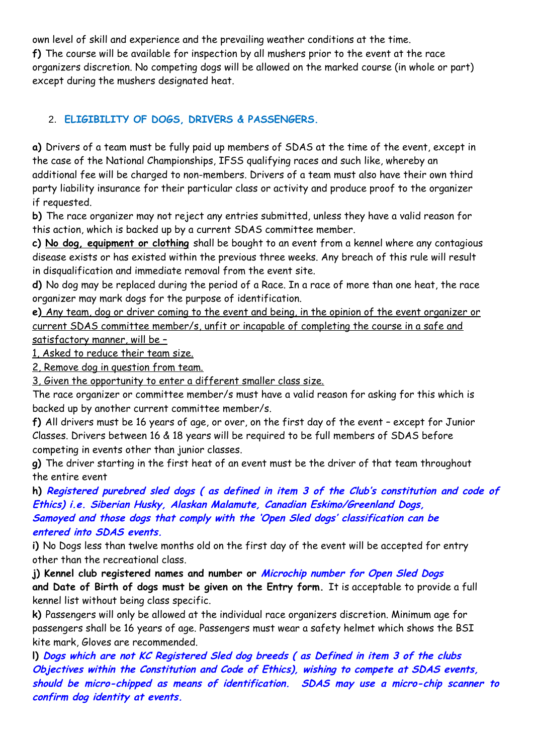own level of skill and experience and the prevailing weather conditions at the time. **f)** The course will be available for inspection by all mushers prior to the event at the race organizers discretion. No competing dogs will be allowed on the marked course (in whole or part) except during the mushers designated heat.

# 2. **ELIGIBILITY OF DOGS, DRIVERS & PASSENGERS.**

**a)** Drivers of a team must be fully paid up members of SDAS at the time of the event, except in the case of the National Championships, IFSS qualifying races and such like, whereby an additional fee will be charged to non-members. Drivers of a team must also have their own third party liability insurance for their particular class or activity and produce proof to the organizer if requested.

**b)** The race organizer may not reject any entries submitted, unless they have a valid reason for this action, which is backed up by a current SDAS committee member.

**c) No dog, equipment or clothing** shall be bought to an event from a kennel where any contagious disease exists or has existed within the previous three weeks. Any breach of this rule will result in disqualification and immediate removal from the event site.

**d)** No dog may be replaced during the period of a Race. In a race of more than one heat, the race organizer may mark dogs for the purpose of identification.

**e)** Any team, dog or driver coming to the event and being, in the opinion of the event organizer or current SDAS committee member/s, unfit or incapable of completing the course in a safe and satisfactory manner, will be –

1, Asked to reduce their team size.

2, Remove dog in question from team.

3, Given the opportunity to enter a different smaller class size.

The race organizer or committee member/s must have a valid reason for asking for this which is backed up by another current committee member/s.

**f)** All drivers must be 16 years of age, or over, on the first day of the event – except for Junior Classes. Drivers between 16 & 18 years will be required to be full members of SDAS before competing in events other than junior classes.

**g)** The driver starting in the first heat of an event must be the driver of that team throughout the entire event

**h) Registered purebred sled dogs ( as defined in item 3 of the Club's constitution and code of Ethics) i.e. Siberian Husky, Alaskan Malamute, Canadian Eskimo/Greenland Dogs, Samoyed and those dogs that comply with the 'Open Sled dogs' classification can be entered into SDAS events.**

**i)** No Dogs less than twelve months old on the first day of the event will be accepted for entry other than the recreational class.

**j) Kennel club registered names and number or Microchip number for Open Sled Dogs and Date of Birth of dogs must be given on the Entry form.** It is acceptable to provide a full kennel list without being class specific.

**k)** Passengers will only be allowed at the individual race organizers discretion. Minimum age for passengers shall be 16 years of age. Passengers must wear a safety helmet which shows the BSI kite mark, Gloves are recommended.

**l) Dogs which are not KC Registered Sled dog breeds ( as Defined in item 3 of the clubs Objectives within the Constitution and Code of Ethics), wishing to compete at SDAS events, should be micro-chipped as means of identification. SDAS may use a micro-chip scanner to confirm dog identity at events.**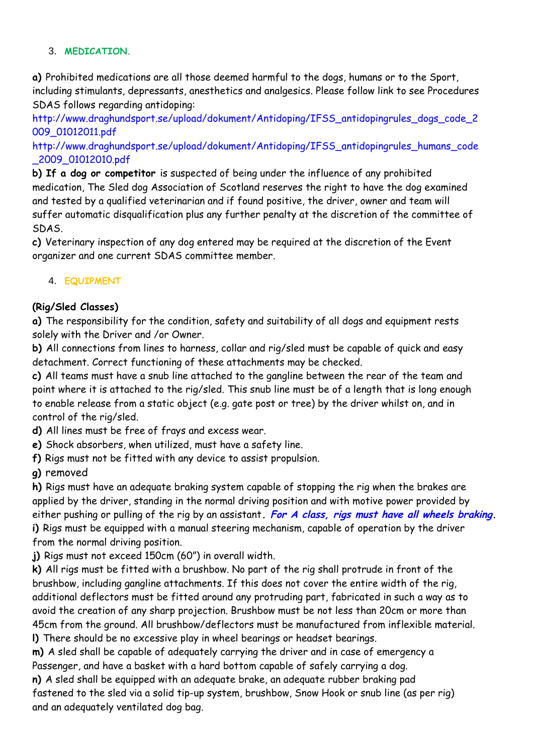#### 3. **MEDICATION.**

**a)** Prohibited medications are all those deemed harmful to the dogs, humans or to the Sport, including stimulants, depressants, anesthetics and analgesics. Please follow link to see Procedures SDAS follows regarding antidoping:

http://www.draghundsport.se/upload/dokument/Antidoping/IFSS\_antidopingrules\_dogs\_code\_2 009\_01012011.pdf

http://www.draghundsport.se/upload/dokument/Antidoping/IFSS\_antidopingrules\_humans\_code \_2009\_01012010.pdf

**b) If a dog or competitor** is suspected of being under the influence of any prohibited medication, The Sled dog Association of Scotland reserves the right to have the dog examined and tested by a qualified veterinarian and if found positive, the driver, owner and team will suffer automatic disqualification plus any further penalty at the discretion of the committee of SDAS.

**c)** Veterinary inspection of any dog entered may be required at the discretion of the Event organizer and one current SDAS committee member.

#### 4. **EQUIPMENT**

#### **(Rig/Sled Classes)**

**a)** The responsibility for the condition, safety and suitability of all dogs and equipment rests solely with the Driver and /or Owner.

**b)** All connections from lines to harness, collar and rig/sled must be capable of quick and easy detachment. Correct functioning of these attachments may be checked.

**c)** All teams must have a snub line attached to the gangline between the rear of the team and point where it is attached to the rig/sled. This snub line must be of a length that is long enough to enable release from a static object (e.g. gate post or tree) by the driver whilst on, and in control of the rig/sled.

**d)** All lines must be free of frays and excess wear.

- **e)** Shock absorbers, when utilized, must have a safety line.
- **f)** Rigs must not be fitted with any device to assist propulsion.

#### **g)** removed

**h)** Rigs must have an adequate braking system capable of stopping the rig when the brakes are applied by the driver, standing in the normal driving position and with motive power provided by either pushing or pulling of the rig by an assistant**. For A class, rigs must have all wheels braking. i)** Rigs must be equipped with a manual steering mechanism, capable of operation by the driver from the normal driving position.

**j)** Rigs must not exceed 150cm (60") in overall width.

**k)** All rigs must be fitted with a brushbow. No part of the rig shall protrude in front of the brushbow, including gangline attachments. If this does not cover the entire width of the rig, additional deflectors must be fitted around any protruding part, fabricated in such a way as to avoid the creation of any sharp projection. Brushbow must be not less than 20cm or more than 45cm from the ground. All brushbow/deflectors must be manufactured from inflexible material.

**l)** There should be no excessive play in wheel bearings or headset bearings.

**m)** A sled shall be capable of adequately carrying the driver and in case of emergency a Passenger, and have a basket with a hard bottom capable of safely carrying a dog.

**n)** A sled shall be equipped with an adequate brake, an adequate rubber braking pad fastened to the sled via a solid tip-up system, brushbow, Snow Hook or snub line (as per rig) and an adequately ventilated dog bag.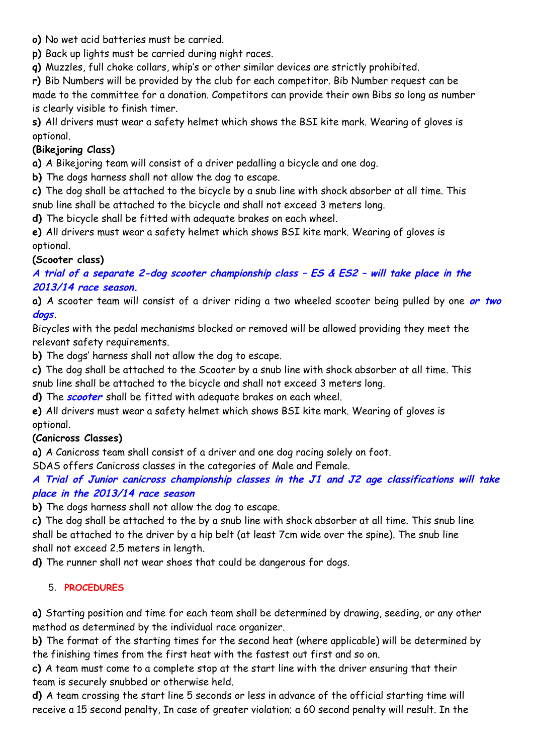- **o)** No wet acid batteries must be carried.
- **p)** Back up lights must be carried during night races.
- **q)** Muzzles, full choke collars, whip's or other similar devices are strictly prohibited.

**r)** Bib Numbers will be provided by the club for each competitor. Bib Number request can be made to the committee for a donation. Competitors can provide their own Bibs so long as number is clearly visible to finish timer.

**s)** All drivers must wear a safety helmet which shows the BSI kite mark. Wearing of gloves is optional.

## **(Bikejoring Class)**

**a)** A Bikejoring team will consist of a driver pedalling a bicycle and one dog.

**b)** The dogs harness shall not allow the dog to escape.

**c)** The dog shall be attached to the bicycle by a snub line with shock absorber at all time. This snub line shall be attached to the bicycle and shall not exceed 3 meters long.

**d)** The bicycle shall be fitted with adequate brakes on each wheel.

**e)** All drivers must wear a safety helmet which shows BSI kite mark. Wearing of gloves is optional.

## **(Scooter class)**

**A trial of a separate 2-dog scooter championship class – ES & ES2 – will take place in the 2013/14 race season.**

**a)** A scooter team will consist of a driver riding a two wheeled scooter being pulled by one **or two dogs.**

Bicycles with the pedal mechanisms blocked or removed will be allowed providing they meet the relevant safety requirements.

**b)** The dogs' harness shall not allow the dog to escape.

**c)** The dog shall be attached to the Scooter by a snub line with shock absorber at all time. This snub line shall be attached to the bicycle and shall not exceed 3 meters long.

**d)** The **scooter** shall be fitted with adequate brakes on each wheel.

**e)** All drivers must wear a safety helmet which shows BSI kite mark. Wearing of gloves is optional.

## **(Canicross Classes)**

**a)** A Canicross team shall consist of a driver and one dog racing solely on foot.

SDAS offers Canicross classes in the categories of Male and Female.

## **A Trial of Junior canicross championship classes in the J1 and J2 age classifications will take place in the 2013/14 race season**

**b)** The dogs harness shall not allow the dog to escape.

**c)** The dog shall be attached to the by a snub line with shock absorber at all time. This snub line shall be attached to the driver by a hip belt (at least 7cm wide over the spine). The snub line shall not exceed 2.5 meters in length.

**d)** The runner shall not wear shoes that could be dangerous for dogs.

## 5. **PROCEDURES**

**a)** Starting position and time for each team shall be determined by drawing, seeding, or any other method as determined by the individual race organizer.

**b)** The format of the starting times for the second heat (where applicable) will be determined by the finishing times from the first heat with the fastest out first and so on.

**c)** A team must come to a complete stop at the start line with the driver ensuring that their team is securely snubbed or otherwise held.

**d)** A team crossing the start line 5 seconds or less in advance of the official starting time will receive a 15 second penalty, In case of greater violation; a 60 second penalty will result. In the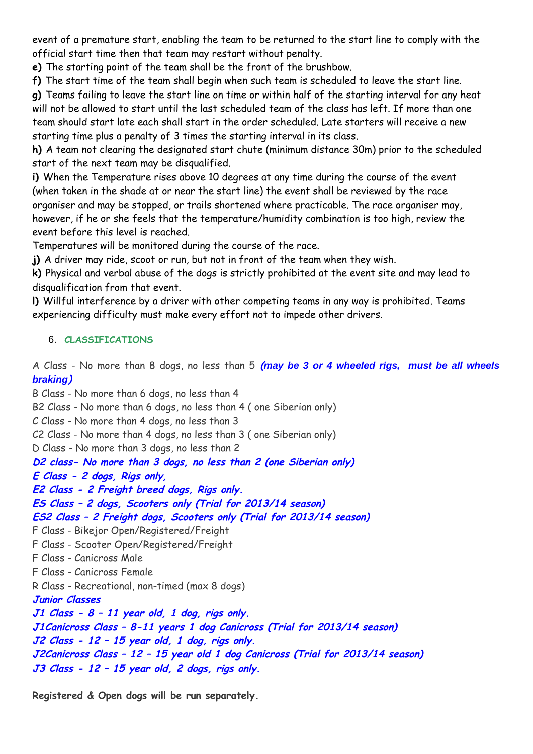event of a premature start, enabling the team to be returned to the start line to comply with the official start time then that team may restart without penalty.

**e)** The starting point of the team shall be the front of the brushbow.

**f)** The start time of the team shall begin when such team is scheduled to leave the start line.

**g)** Teams failing to leave the start line on time or within half of the starting interval for any heat will not be allowed to start until the last scheduled team of the class has left. If more than one team should start late each shall start in the order scheduled. Late starters will receive a new starting time plus a penalty of 3 times the starting interval in its class.

**h)** A team not clearing the designated start chute (minimum distance 30m) prior to the scheduled start of the next team may be disqualified.

**i)** When the Temperature rises above 10 degrees at any time during the course of the event (when taken in the shade at or near the start line) the event shall be reviewed by the race organiser and may be stopped, or trails shortened where practicable. The race organiser may, however, if he or she feels that the temperature/humidity combination is too high, review the event before this level is reached.

Temperatures will be monitored during the course of the race.

**j)** A driver may ride, scoot or run, but not in front of the team when they wish.

**k)** Physical and verbal abuse of the dogs is strictly prohibited at the event site and may lead to disqualification from that event.

**l)** Willful interference by a driver with other competing teams in any way is prohibited. Teams experiencing difficulty must make every effort not to impede other drivers.

# 6. **CLASSIFICATIONS**

A Class - No more than 8 dogs, no less than 5 **(***may be 3 or 4 wheeled rigs, must be all wheels braking***)**

B Class - No more than 6 dogs, no less than 4 B2 Class - No more than 6 dogs, no less than 4 ( one Siberian only) C Class - No more than 4 dogs, no less than 3 C2 Class - No more than 4 dogs, no less than 3 ( one Siberian only) D Class - No more than 3 dogs, no less than 2 **D2 class- No more than 3 dogs, no less than 2 (one Siberian only) E Class - 2 dogs, Rigs only, E2 Class - 2 Freight breed dogs, Rigs only. ES Class – 2 dogs, Scooters only (Trial for 2013/14 season) ES2 Class – 2 Freight dogs, Scooters only (Trial for 2013/14 season)** F Class - Bikejor Open/Registered/Freight F Class - Scooter Open/Registered/Freight F Class - Canicross Male F Class - Canicross Female R Class - Recreational, non-timed (max 8 dogs) **Junior Classes J1 Class - 8 – 11 year old, 1 dog, rigs only. J1Canicross Class – 8-11 years 1 dog Canicross (Trial for 2013/14 season) J2 Class - 12 – 15 year old, 1 dog, rigs only. J2Canicross Class – 12 – 15 year old 1 dog Canicross (Trial for 2013/14 season) J3 Class - 12 – 15 year old, 2 dogs, rigs only.**

**Registered & Open dogs will be run separately.**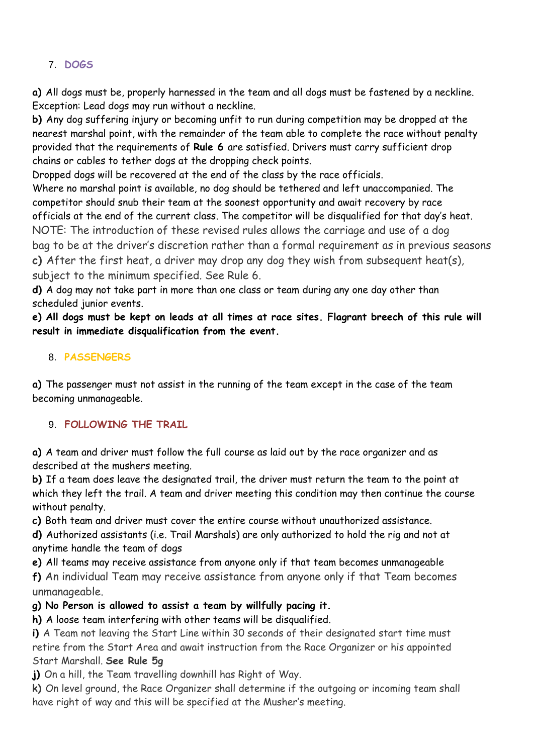# 7. **DOGS**

**a)** All dogs must be, properly harnessed in the team and all dogs must be fastened by a neckline. Exception: Lead dogs may run without a neckline.

**b)** Any dog suffering injury or becoming unfit to run during competition may be dropped at the nearest marshal point, with the remainder of the team able to complete the race without penalty provided that the requirements of **Rule 6** are satisfied. Drivers must carry sufficient drop chains or cables to tether dogs at the dropping check points.

Dropped dogs will be recovered at the end of the class by the race officials.

Where no marshal point is available, no dog should be tethered and left unaccompanied. The competitor should snub their team at the soonest opportunity and await recovery by race officials at the end of the current class. The competitor will be disqualified for that day's heat. NOTE: The introduction of these revised rules allows the carriage and use of a dog bag to be at the driver's discretion rather than a formal requirement as in previous seasons **c)** After the first heat, a driver may drop any dog they wish from subsequent heat(s), subject to the minimum specified. See Rule 6.

**d)** A dog may not take part in more than one class or team during any one day other than scheduled junior events.

**e) All dogs must be kept on leads at all times at race sites. Flagrant breech of this rule will result in immediate disqualification from the event.**

#### 8. **PASSENGERS**

**a)** The passenger must not assist in the running of the team except in the case of the team becoming unmanageable.

## 9. **FOLLOWING THE TRAIL**

**a)** A team and driver must follow the full course as laid out by the race organizer and as described at the mushers meeting.

**b)** If a team does leave the designated trail, the driver must return the team to the point at which they left the trail. A team and driver meeting this condition may then continue the course without penalty.

**c)** Both team and driver must cover the entire course without unauthorized assistance.

**d)** Authorized assistants (i.e. Trail Marshals) are only authorized to hold the rig and not at anytime handle the team of dogs

**e)** All teams may receive assistance from anyone only if that team becomes unmanageable

**f)** An individual Team may receive assistance from anyone only if that Team becomes unmanageable.

## **g) No Person is allowed to assist a team by willfully pacing it.**

**h)** A loose team interfering with other teams will be disqualified.

**i)** A Team not leaving the Start Line within 30 seconds of their designated start time must retire from the Start Area and await instruction from the Race Organizer or his appointed Start Marshall. **See Rule 5g**

**j)** On a hill, the Team travelling downhill has Right of Way.

**k)** On level ground, the Race Organizer shall determine if the outgoing or incoming team shall have right of way and this will be specified at the Musher's meeting.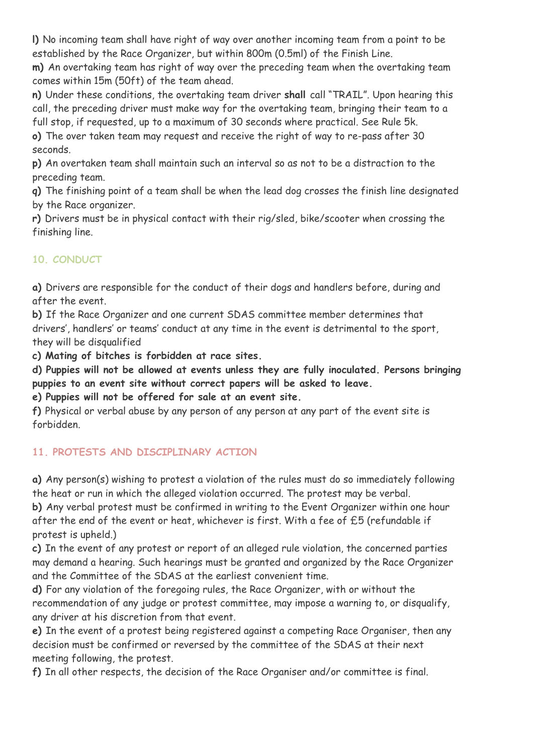**l)** No incoming team shall have right of way over another incoming team from a point to be established by the Race Organizer, but within 800m (0.5ml) of the Finish Line.

**m)** An overtaking team has right of way over the preceding team when the overtaking team comes within 15m (50ft) of the team ahead.

**n)** Under these conditions, the overtaking team driver **shall** call "TRAIL". Upon hearing this call, the preceding driver must make way for the overtaking team, bringing their team to a full stop, if requested, up to a maximum of 30 seconds where practical. See Rule 5k.

**o)** The over taken team may request and receive the right of way to re-pass after 30 seconds.

**p)** An overtaken team shall maintain such an interval so as not to be a distraction to the preceding team.

**q)** The finishing point of a team shall be when the lead dog crosses the finish line designated by the Race organizer.

**r)** Drivers must be in physical contact with their rig/sled, bike/scooter when crossing the finishing line.

# **10. CONDUCT**

**a)** Drivers are responsible for the conduct of their dogs and handlers before, during and after the event.

**b)** If the Race Organizer and one current SDAS committee member determines that drivers', handlers' or teams' conduct at any time in the event is detrimental to the sport, they will be disqualified

**c) Mating of bitches is forbidden at race sites.**

**d) Puppies will not be allowed at events unless they are fully inoculated. Persons bringing puppies to an event site without correct papers will be asked to leave.**

**e) Puppies will not be offered for sale at an event site.**

**f)** Physical or verbal abuse by any person of any person at any part of the event site is forbidden.

# **11. PROTESTS AND DISCIPLINARY ACTION**

**a)** Any person(s) wishing to protest a violation of the rules must do so immediately following the heat or run in which the alleged violation occurred. The protest may be verbal.

**b)** Any verbal protest must be confirmed in writing to the Event Organizer within one hour after the end of the event or heat, whichever is first. With a fee of £5 (refundable if protest is upheld.)

**c)** In the event of any protest or report of an alleged rule violation, the concerned parties may demand a hearing. Such hearings must be granted and organized by the Race Organizer and the Committee of the SDAS at the earliest convenient time.

**d)** For any violation of the foregoing rules, the Race Organizer, with or without the recommendation of any judge or protest committee, may impose a warning to, or disqualify, any driver at his discretion from that event.

**e)** In the event of a protest being registered against a competing Race Organiser, then any decision must be confirmed or reversed by the committee of the SDAS at their next meeting following, the protest.

**f)** In all other respects, the decision of the Race Organiser and/or committee is final.